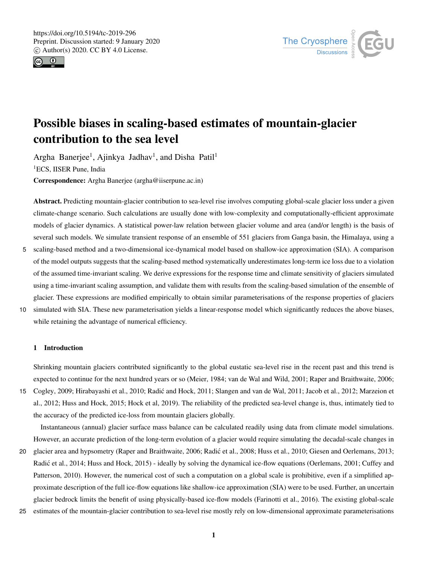



# Possible biases in scaling-based estimates of mountain-glacier contribution to the sea level

Argha Banerjee<sup>1</sup>, Ajinkya Jadhav<sup>1</sup>, and Disha Patil<sup>1</sup> <sup>1</sup>ECS, IISER Pune, India

Correspondence: Argha Banerjee (argha@iiserpune.ac.in)

Abstract. Predicting mountain-glacier contribution to sea-level rise involves computing global-scale glacier loss under a given climate-change scenario. Such calculations are usually done with low-complexity and computationally-efficient approximate models of glacier dynamics. A statistical power-law relation between glacier volume and area (and/or length) is the basis of several such models. We simulate transient response of an ensemble of 551 glaciers from Ganga basin, the Himalaya, using a

- 5 scaling-based method and a two-dimensional ice-dynamical model based on shallow-ice approximation (SIA). A comparison of the model outputs suggests that the scaling-based method systematically underestimates long-term ice loss due to a violation of the assumed time-invariant scaling. We derive expressions for the response time and climate sensitivity of glaciers simulated using a time-invariant scaling assumption, and validate them with results from the scaling-based simulation of the ensemble of glacier. These expressions are modified empirically to obtain similar parameterisations of the response properties of glaciers
- 10 simulated with SIA. These new parameterisation yields a linear-response model which significantly reduces the above biases, while retaining the advantage of numerical efficiency.

# 1 Introduction

Shrinking mountain glaciers contributed significantly to the global eustatic sea-level rise in the recent past and this trend is expected to continue for the next hundred years or so (Meier, 1984; van de Wal and Wild, 2001; Raper and Braithwaite, 2006;

15 Cogley, 2009; Hirabayashi et al., 2010; Radic and Hock, 2011; Slangen and van de Wal, 2011; Jacob et al., 2012; Marzeion et ´ al., 2012; Huss and Hock, 2015; Hock et al, 2019). The reliability of the predicted sea-level change is, thus, intimately tied to the accuracy of the predicted ice-loss from mountain glaciers globally.

Instantaneous (annual) glacier surface mass balance can be calculated readily using data from climate model simulations. However, an accurate prediction of the long-term evolution of a glacier would require simulating the decadal-scale changes in

- 20 glacier area and hypsometry (Raper and Braithwaite, 2006; Radic et al., 2008; Huss et al., 2010; Giesen and Oerlemans, 2013; ´ Radic et al., 2014; Huss and Hock, 2015) - ideally by solving the dynamical ice-flow equations (Oerlemans, 2001; Cuffey and ´ Patterson, 2010). However, the numerical cost of such a computation on a global scale is prohibitive, even if a simplified approximate description of the full ice-flow equations like shallow-ice approximation (SIA) were to be used. Further, an uncertain glacier bedrock limits the benefit of using physically-based ice-flow models (Farinotti et al., 2016). The existing global-scale
- 25 estimates of the mountain-glacier contribution to sea-level rise mostly rely on low-dimensional approximate parameterisations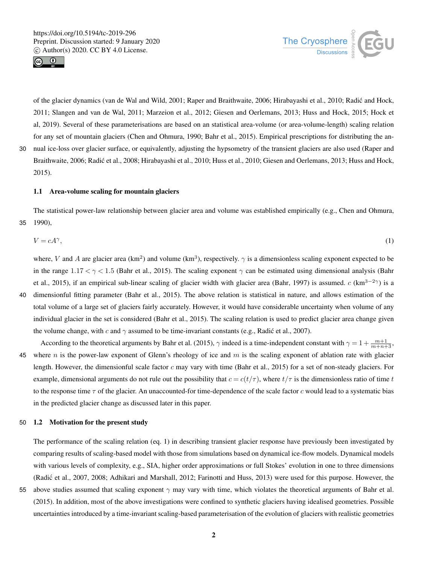



of the glacier dynamics (van de Wal and Wild, 2001; Raper and Braithwaite, 2006; Hirabayashi et al., 2010; Radic and Hock, ´ 2011; Slangen and van de Wal, 2011; Marzeion et al., 2012; Giesen and Oerlemans, 2013; Huss and Hock, 2015; Hock et al, 2019). Several of these parameterisations are based on an statistical area-volume (or area-volume-length) scaling relation for any set of mountain glaciers (Chen and Ohmura, 1990; Bahr et al., 2015). Empirical prescriptions for distributing the an-30 nual ice-loss over glacier surface, or equivalently, adjusting the hypsometry of the transient glaciers are also used (Raper and

Braithwaite, 2006; Radic et al., 2008; Hirabayashi et al., 2010; Huss et al., 2010; Giesen and Oerlemans, 2013; Huss and Hock, ´ 2015).

# 1.1 Area-volume scaling for mountain glaciers

The statistical power-law relationship between glacier area and volume was established empirically (e.g., Chen and Ohmura, 35 1990),

$$
V = cA^{\gamma},\tag{1}
$$

where, V and A are glacier area (km<sup>2</sup>) and volume (km<sup>3</sup>), respectively.  $\gamma$  is a dimensionless scaling exponent expected to be in the range  $1.17 < \gamma < 1.5$  (Bahr et al., 2015). The scaling exponent  $\gamma$  can be estimated using dimensional analysis (Bahr et al., 2015), if an empirical sub-linear scaling of glacier width with glacier area (Bahr, 1997) is assumed.  $c$  (km<sup>3−2</sup> $\gamma$ ) is a 40 dimensionful fitting parameter (Bahr et al., 2015). The above relation is statistical in nature, and allows estimation of the total volume of a large set of glaciers fairly accurately. However, it would have considerable uncertainty when volume of any individual glacier in the set is considered (Bahr et al., 2015). The scaling relation is used to predict glacier area change given the volume change, with c and  $\gamma$  assumed to be time-invariant constants (e.g., Radic et al., 2007).

According to the theoretical arguments by Bahr et al. (2015),  $\gamma$  indeed is a time-independent constant with  $\gamma = 1 + \frac{m+1}{m+n+3}$ 45 where n is the power-law exponent of Glenn's rheology of ice and  $m$  is the scaling exponent of ablation rate with glacier length. However, the dimensionful scale factor  $c$  may vary with time (Bahr et al., 2015) for a set of non-steady glaciers. For example, dimensional arguments do not rule out the possibility that  $c = c(t/\tau)$ , where  $t/\tau$  is the dimensionless ratio of time t to the response time  $\tau$  of the glacier. An unaccounted-for time-dependence of the scale factor c would lead to a systematic bias in the predicted glacier change as discussed later in this paper.

#### 50 1.2 Motivation for the present study

The performance of the scaling relation (eq. 1) in describing transient glacier response have previously been investigated by comparing results of scaling-based model with those from simulations based on dynamical ice-flow models. Dynamical models with various levels of complexity, e.g., SIA, higher order approximations or full Stokes' evolution in one to three dimensions (Radic et al., 2007, 2008; Adhikari and Marshall, 2012; Farinotti and Huss, 2013) were used for this purpose. However, the ´ 55 above studies assumed that scaling exponent  $\gamma$  may vary with time, which violates the theoretical arguments of Bahr et al. (2015). In addition, most of the above investigations were confined to synthetic glaciers having idealised geometries. Possible

uncertainties introduced by a time-invariant scaling-based parameterisation of the evolution of glaciers with realistic geometries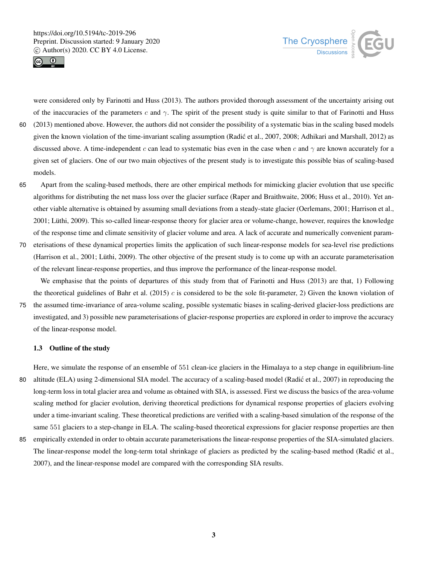



were considered only by Farinotti and Huss (2013). The authors provided thorough assessment of the uncertainty arising out of the inaccuracies of the parameters c and  $\gamma$ . The spirit of the present study is quite similar to that of Farinotti and Huss

- 60 (2013) mentioned above. However, the authors did not consider the possibility of a systematic bias in the scaling based models given the known violation of the time-invariant scaling assumption (Radic et al., 2007, 2008; Adhikari and Marshall, 2012) as ´ discussed above. A time-independent c can lead to systematic bias even in the case when c and  $\gamma$  are known accurately for a given set of glaciers. One of our two main objectives of the present study is to investigate this possible bias of scaling-based models.
- 65 Apart from the scaling-based methods, there are other empirical methods for mimicking glacier evolution that use specific algorithms for distributing the net mass loss over the glacier surface (Raper and Braithwaite, 2006; Huss et al., 2010). Yet another viable alternative is obtained by assuming small deviations from a steady-state glacier (Oerlemans, 2001; Harrison et al., 2001; Lüthi, 2009). This so-called linear-response theory for glacier area or volume-change, however, requires the knowledge of the response time and climate sensitivity of glacier volume and area. A lack of accurate and numerically convenient param-
- 70 eterisations of these dynamical properties limits the application of such linear-response models for sea-level rise predictions (Harrison et al., 2001; Lüthi, 2009). The other objective of the present study is to come up with an accurate parameterisation of the relevant linear-response properties, and thus improve the performance of the linear-response model.

We emphasise that the points of departures of this study from that of Farinotti and Huss (2013) are that, 1) Following the theoretical guidelines of Bahr et al. (2015) c is considered to be the sole fit-parameter, 2) Given the known violation of

75 the assumed time-invariance of area-volume scaling, possible systematic biases in scaling-derived glacier-loss predictions are investigated, and 3) possible new parameterisations of glacier-response properties are explored in order to improve the accuracy of the linear-response model.

# 1.3 Outline of the study

Here, we simulate the response of an ensemble of 551 clean-ice glaciers in the Himalaya to a step change in equilibrium-line 80 altitude (ELA) using 2-dimensional SIA model. The accuracy of a scaling-based model (Radić et al., 2007) in reproducing the long-term loss in total glacier area and volume as obtained with SIA, is assessed. First we discuss the basics of the area-volume scaling method for glacier evolution, deriving theoretical predictions for dynamical response properties of glaciers evolving under a time-invariant scaling. These theoretical predictions are verified with a scaling-based simulation of the response of the same 551 glaciers to a step-change in ELA. The scaling-based theoretical expressions for glacier response properties are then

85 empirically extended in order to obtain accurate parameterisations the linear-response properties of the SIA-simulated glaciers. The linear-response model the long-term total shrinkage of glaciers as predicted by the scaling-based method (Radic et al., ´ 2007), and the linear-response model are compared with the corresponding SIA results.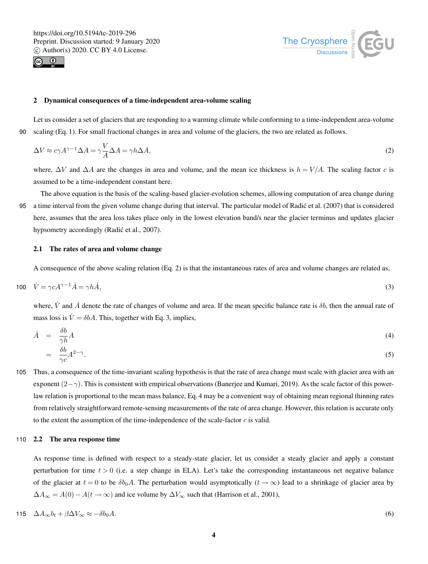



#### 2 Dynamical consequences of a time-independent area-volume scaling

Let us consider a set of glaciers that are responding to a warming climate while conforming to a time-independent area-volume 90 scaling (Eq. 1). For small fractional changes in area and volume of the glaciers, the two are related as follows.

$$
\Delta V \approx c\gamma A^{\gamma - 1} \Delta A = \gamma \frac{V}{A} \Delta A = \gamma h \Delta A,\tag{2}
$$

where,  $\Delta V$  and  $\Delta A$  are the changes in area and volume, and the mean ice thickness is  $h = V/A$ . The scaling factor c is assumed to be a time-independent constant here.

The above equation is the basis of the scaling-based glacier-evolution schemes, allowing computation of area change during 95 a time interval from the given volume change during that interval. The particular model of Radic et al. (2007) that is considered ´ here, assumes that the area loss takes place only in the lowest elevation band/s near the glacier terminus and updates glacier hypsometry accordingly (Radić et al., 2007).

# 2.1 The rates of area and volume change

A consequence of the above scaling relation (Eq. 2) is that the instantaneous rates of area and volume changes are related as,

$$
100 \quad \dot{V} = \gamma c A^{\gamma - 1} \dot{A} = \gamma h \dot{A},\tag{3}
$$

where,  $\dot{V}$  and  $\dot{A}$  denote the rate of changes of volume and area. If the mean specific balance rate is  $\delta b$ , then the annual rate of mass loss is  $\dot{V} = \delta bA$ . This, together with Eq. 3, implies,

$$
\dot{A} = \frac{\delta b}{\gamma h} A
$$
\n
$$
= \frac{\delta b}{\gamma c} A^{2-\gamma}.
$$
\n(4)

105 Thus, a consequence of the time-invariant scaling hypothesis is that the rate of area change must scale with glacier area with an exponent  $(2-\gamma)$ . This is consistent with empirical observations (Banerjee and Kumari, 2019). As the scale factor of this powerlaw relation is proportional to the mean mass balance, Eq. 4 may be a convenient way of obtaining mean regional thinning rates from relatively straightforward remote-sensing measurements of the rate of area change. However, this relation is accurate only to the extent the assumption of the time-independence of the scale-factor  $c$  is valid.

# 110 2.2 The area response time

As response time is defined with respect to a steady-state glacier, let us consider a steady glacier and apply a constant perturbation for time  $t > 0$  (i.e. a step change in ELA). Let's take the corresponding instantaneous net negative balance of the glacier at  $t = 0$  to be  $\delta b_0 A$ . The perturbation would asymptotically  $(t \to \infty)$  lead to a shrinkage of glacier area by  $\Delta A_{\infty} = A(0) - A(t \to \infty)$  and ice volume by  $\Delta V_{\infty}$  such that (Harrison et al., 2001),

$$
115 \quad \Delta A_{\infty} b_t + \beta \Delta V_{\infty} \approx -\delta b_0 A. \tag{6}
$$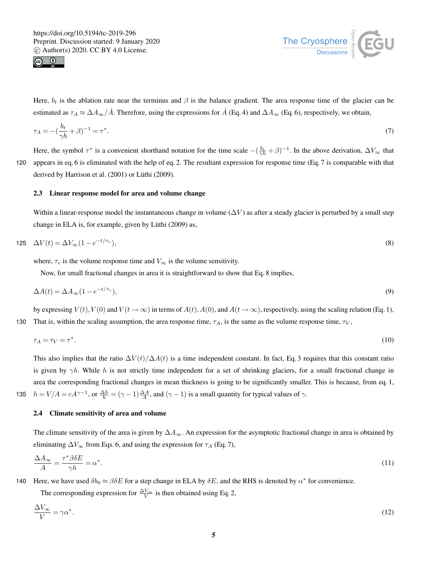



Here,  $b_t$  is the ablation rate near the terminus and  $\beta$  is the balance gradient. The area response time of the glacier can be estimated as  $\tau_A \approx \Delta A_\infty / \dot{A}$ . Therefore, using the expressions for  $\dot{A}$  (Eq. 4) and  $\Delta A_\infty$  (Eq. 6), respectively, we obtain,

$$
\tau_A = -\left(\frac{b_t}{\gamma h} + \beta\right)^{-1} = \tau^*.\tag{7}
$$

Here, the symbol  $\tau^*$  is a convenient shorthand notation for the time scale  $-(\frac{b_t}{\gamma h} + \beta)^{-1}$ . In the above derivation,  $\Delta V_{\infty}$  that 120 appears in eq. 6 is eliminated with the help of eq. 2. The resultant expression for response time (Eq. 7 is comparable with that derived by Harrison et al. (2001) or Lüthi (2009).

# 2.3 Linear response model for area and volume change

Within a linear-response model the instantaneous change in volume ( $\Delta V$ ) as after a steady glacier is perturbed by a small step change in ELA is, for example, given by Lüthi (2009) as,

$$
125 \quad \Delta V(t) = \Delta V_{\infty} (1 - e^{-t/\tau_v}),\tag{8}
$$

where,  $\tau_v$  is the volume response time and  $V_{\infty}$  is the volume sensitivity.

Now, for small fractional changes in area it is straightforward to show that Eq. 8 implies,

$$
\Delta A(t) = \Delta A_{\infty} (1 - e^{-t/\tau_v}),\tag{9}
$$

by expressing  $V(t)$ ,  $V(0)$  and  $V(t \to \infty)$  in terms of  $A(t)$ ,  $A(0)$ , and  $A(t \to \infty)$ , respectively, using the scaling relation (Eq. 1), 130 That is, within the scaling assumption, the area response time,  $\tau_A$ , is the same as the volume response time,  $\tau_V$ ,

$$
\tau_A = \tau_V = \tau^*.\tag{10}
$$

This also implies that the ratio  $\Delta V(t)/\Delta A(t)$  is a time independent constant. In fact, Eq. 3 requires that this constant ratio is given by  $\gamma h$ . While h is not strictly time independent for a set of shrinking glaciers, for a small fractional change in area the corresponding fractional changes in mean thickness is going to be significantly smaller. This is because, from eq. 1, 135  $h = V/A = cA^{\gamma-1}$ , or  $\frac{\Delta h}{h} = (\gamma - 1) \frac{\Delta A}{A}$ , and  $(\gamma - 1)$  is a small quantity for typical values of  $\gamma$ .

#### 2.4 Climate sensitivity of area and volume

The climate sensitivity of the area is given by  $\Delta A_{\infty}$ . An expression for the asymptotic fractional change in area is obtained by eliminating  $\Delta V_{\infty}$  from Eqs. 6, and using the expression for  $\tau_A$  (Eq. 7),

$$
\frac{\Delta A_{\infty}}{A} = \frac{\tau^* \beta \delta E}{\gamma h} = \alpha^*.
$$
\n(11)

140 Here, we have used  $\delta b_0 \approx \beta \delta E$  for a step change in ELA by  $\delta E$ , and the RHS is denoted by  $\alpha^*$  for convenience.

The corresponding expression for  $\frac{\Delta V_{\infty}}{V}$  is then obtained using Eq. 2,

$$
\frac{\Delta V_{\infty}}{V} = \gamma \alpha^*.\tag{12}
$$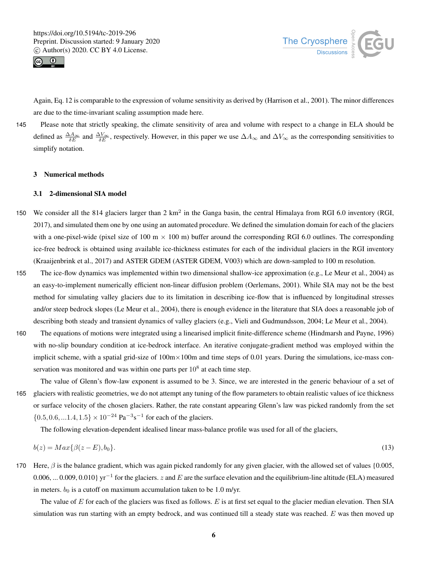



Again, Eq. 12 is comparable to the expression of volume sensitivity as derived by (Harrison et al., 2001). The minor differences are due to the time-invariant scaling assumption made here.

145 Please note that strictly speaking, the climate sensitivity of area and volume with respect to a change in ELA should be defined as  $\frac{\Delta A_{\infty}}{\delta E}$  and  $\frac{\Delta V_{\infty}}{\delta E}$ , respectively. However, in this paper we use  $\Delta A_{\infty}$  and  $\Delta V_{\infty}$  as the corresponding sensitivities to simplify notation.

#### 3 Numerical methods

#### 3.1 2-dimensional SIA model

- 150 We consider all the 814 glaciers larger than  $2 \text{ km}^2$  in the Ganga basin, the central Himalaya from RGI 6.0 inventory (RGI, 2017), and simulated them one by one using an automated procedure. We defined the simulation domain for each of the glaciers with a one-pixel-wide (pixel size of 100 m  $\times$  100 m) buffer around the corresponding RGI 6.0 outlines. The corresponding ice-free bedrock is obtained using available ice-thickness estimates for each of the individual glaciers in the RGI inventory (Kraaijenbrink et al., 2017) and ASTER GDEM (ASTER GDEM, V003) which are down-sampled to 100 m resolution.
- 155 The ice-flow dynamics was implemented within two dimensional shallow-ice approximation (e.g., Le Meur et al., 2004) as an easy-to-implement numerically efficient non-linear diffusion problem (Oerlemans, 2001). While SIA may not be the best method for simulating valley glaciers due to its limitation in describing ice-flow that is influenced by longitudinal stresses and/or steep bedrock slopes (Le Meur et al., 2004), there is enough evidence in the literature that SIA does a reasonable job of describing both steady and transient dynamics of valley glaciers (e.g., Vieli and Gudmundsson, 2004; Le Meur et al., 2004).
- 160 The equations of motions were integrated using a linearised implicit finite-difference scheme (Hindmarsh and Payne, 1996) with no-slip boundary condition at ice-bedrock interface. An iterative conjugate-gradient method was employed within the implicit scheme, with a spatial grid-size of  $100 \text{m} \times 100 \text{m}$  and time steps of 0.01 years. During the simulations, ice-mass conservation was monitored and was within one parts per  $10^8$  at each time step.
- The value of Glenn's flow-law exponent is assumed to be 3. Since, we are interested in the generic behaviour of a set of 165 glaciers with realistic geometries, we do not attempt any tuning of the flow parameters to obtain realistic values of ice thickness or surface velocity of the chosen glaciers. Rather, the rate constant appearing Glenn's law was picked randomly from the set  $\{0.5, 0.6, \ldots 1.4, 1.5\} \times 10^{-24} \text{ Pa}^{-3} \text{s}^{-1}$  for each of the glaciers.

The following elevation-dependent idealised linear mass-balance profile was used for all of the glaciers,

$$
b(z) = Max\{\beta(z - E), b_0\}.\tag{13}
$$

170 Here,  $\beta$  is the balance gradient, which was again picked randomly for any given glacier, with the allowed set of values {0.005, 0.006, ... 0.009, 0.010}  $yr^{-1}$  for the glaciers. z and E are the surface elevation and the equilibrium-line altitude (ELA) measured in meters.  $b_0$  is a cutoff on maximum accumulation taken to be 1.0 m/yr.

The value of  $E$  for each of the glaciers was fixed as follows.  $E$  is at first set equal to the glacier median elevation. Then SIA simulation was run starting with an empty bedrock, and was continued till a steady state was reached. E was then moved up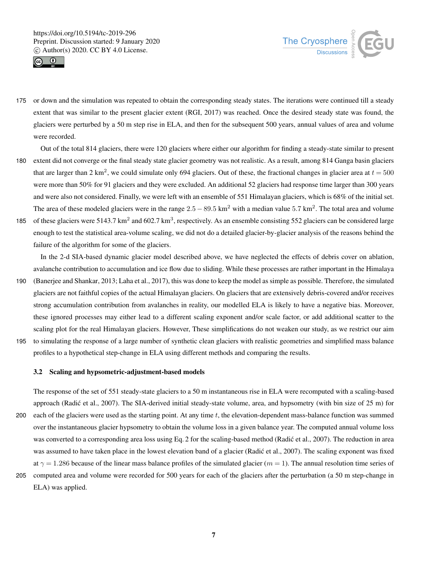



- 175 or down and the simulation was repeated to obtain the corresponding steady states. The iterations were continued till a steady extent that was similar to the present glacier extent (RGI, 2017) was reached. Once the desired steady state was found, the glaciers were perturbed by a 50 m step rise in ELA, and then for the subsequent 500 years, annual values of area and volume were recorded.
- Out of the total 814 glaciers, there were 120 glaciers where either our algorithm for finding a steady-state similar to present 180 extent did not converge or the final steady state glacier geometry was not realistic. As a result, among 814 Ganga basin glaciers that are larger than 2 km<sup>2</sup>, we could simulate only 694 glaciers. Out of these, the fractional changes in glacier area at  $t = 500$ were more than 50% for 91 glaciers and they were excluded. An additional 52 glaciers had response time larger than 300 years and were also not considered. Finally, we were left with an ensemble of 551 Himalayan glaciers, which is 68% of the initial set. The area of these modeled glaciers were in the range  $2.5 - 89.5 \text{ km}^2$  with a median value 5.7 km<sup>2</sup>. The total area and volume
- 185 of these glaciers were 5143.7  $km^2$  and 602.7  $km^3$ , respectively. As an ensemble consisting 552 glaciers can be considered large enough to test the statistical area-volume scaling, we did not do a detailed glacier-by-glacier analysis of the reasons behind the failure of the algorithm for some of the glaciers.

In the 2-d SIA-based dynamic glacier model described above, we have neglected the effects of debris cover on ablation, avalanche contribution to accumulation and ice flow due to sliding. While these processes are rather important in the Himalaya

- 190 (Banerjee and Shankar, 2013; Laha et al., 2017), this was done to keep the model as simple as possible. Therefore, the simulated glaciers are not faithful copies of the actual Himalayan glaciers. On glaciers that are extensively debris-covered and/or receives strong accumulation contribution from avalanches in reality, our modelled ELA is likely to have a negative bias. Moreover, these ignored processes may either lead to a different scaling exponent and/or scale factor, or add additional scatter to the scaling plot for the real Himalayan glaciers. However, These simplifications do not weaken our study, as we restrict our aim
- 195 to simulating the response of a large number of synthetic clean glaciers with realistic geometries and simplified mass balance profiles to a hypothetical step-change in ELA using different methods and comparing the results.

#### 3.2 Scaling and hypsometric-adjustment-based models

The response of the set of 551 steady-state glaciers to a 50 m instantaneous rise in ELA were recomputed with a scaling-based approach (Radić et al., 2007). The SIA-derived initial steady-state volume, area, and hypsometry (with bin size of 25 m) for 200 each of the glaciers were used as the starting point. At any time t, the elevation-dependent mass-balance function was summed over the instantaneous glacier hypsometry to obtain the volume loss in a given balance year. The computed annual volume loss was converted to a corresponding area loss using Eq. 2 for the scaling-based method (Radic et al., 2007). The reduction in area was assumed to have taken place in the lowest elevation band of a glacier (Radić et al., 2007). The scaling exponent was fixed at  $\gamma = 1.286$  because of the linear mass balance profiles of the simulated glacier ( $m = 1$ ). The annual resolution time series of 205 computed area and volume were recorded for 500 years for each of the glaciers after the perturbation (a 50 m step-change in ELA) was applied.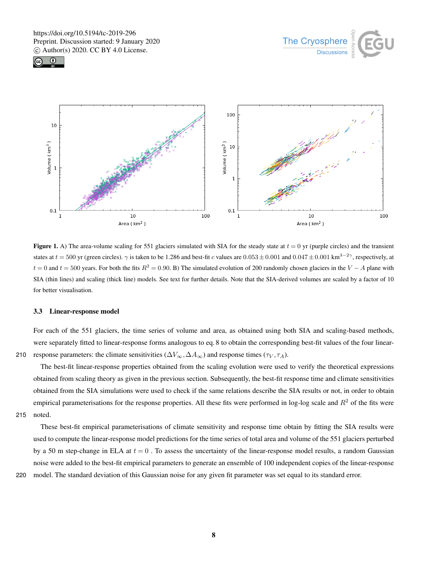





**Figure 1.** A) The area-volume scaling for 551 glaciers simulated with SIA for the steady state at  $t = 0$  yr (purple circles) and the transient states at  $t = 500$  yr (green circles).  $\gamma$  is taken to be 1.286 and best-fit c values are  $0.053 \pm 0.001$  and  $0.047 \pm 0.001$  km<sup>3-2</sup> $\gamma$ , respectively, at  $t = 0$  and  $t = 500$  years. For both the fits  $R^2 = 0.90$ . B) The simulated evolution of 200 randomly chosen glaciers in the  $V - A$  plane with SIA (thin lines) and scaling (thick line) models. See text for further details. Note that the SIA-derived volumes are scaled by a factor of 10 for better visualisation.

#### 3.3 Linear-response model

For each of the 551 glaciers, the time series of volume and area, as obtained using both SIA and scaling-based methods, were separately fitted to linear-response forms analogous to eq. 8 to obtain the corresponding best-fit values of the four linear-210 response parameters: the climate sensitivities ( $\Delta V_{\infty}, \Delta A_{\infty}$ ) and response times ( $\tau_V, \tau_A$ ).

The best-fit linear-response properties obtained from the scaling evolution were used to verify the theoretical expressions obtained from scaling theory as given in the previous section. Subsequently, the best-fit response time and climate sensitivities obtained from the SIA simulations were used to check if the same relations describe the SIA results or not, in order to obtain empirical parameterisations for the response properties. All these fits were performed in log-log scale and  $R<sup>2</sup>$  of the fits were 215 noted.

These best-fit empirical parameterisations of climate sensitivity and response time obtain by fitting the SIA results were used to compute the linear-response model predictions for the time series of total area and volume of the 551 glaciers perturbed by a 50 m step-change in ELA at  $t = 0$ . To assess the uncertainty of the linear-response model results, a random Gaussian noise were added to the best-fit empirical parameters to generate an ensemble of 100 independent copies of the linear-response 220 model. The standard deviation of this Gaussian noise for any given fit parameter was set equal to its standard error.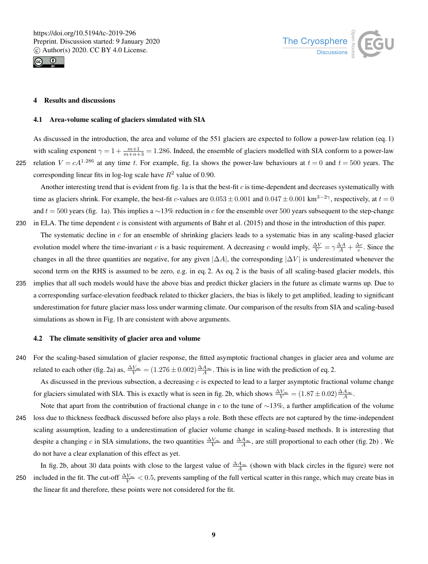



#### 4 Results and discussions

#### 4.1 Area-volume scaling of glaciers simulated with SIA

As discussed in the introduction, the area and volume of the 551 glaciers are expected to follow a power-law relation (eq. 1) with scaling exponent  $\gamma = 1 + \frac{m+1}{m+n+3} = 1.286$ . Indeed, the ensemble of glaciers modelled with SIA conform to a power-law 225 relation  $V = cA^{1.286}$  at any time t. For example, fig. 1a shows the power-law behaviours at  $t = 0$  and  $t = 500$  years. The corresponding linear fits in log-log scale have  $R^2$  value of 0.90.

Another interesting trend that is evident from fig. 1a is that the best-fit c is time-dependent and decreases systematically with time as glaciers shrink. For example, the best-fit *c*-values are  $0.053 \pm 0.001$  and  $0.047 \pm 0.001$  km<sup>3-2</sup><sup>γ</sup>, respectively, at  $t = 0$ and  $t = 500$  years (fig. 1a). This implies a ~13% reduction in c for the ensemble over 500 years subsequent to the step-change 230 in ELA. The time dependent c is consistent with arguments of Bahr et al. (2015) and those in the introduction of this paper.

The systematic decline in  $c$  for an ensemble of shrinking glaciers leads to a systematic bias in any scaling-based glacier evolution model where the time-invariant c is a basic requirement. A decreasing c would imply,  $\frac{\Delta V}{V} = \gamma \frac{\Delta A}{A} + \frac{\Delta c}{c}$ . Since the changes in all the three quantities are negative, for any given  $|\Delta A|$ , the corresponding  $|\Delta V|$  is underestimated whenever the second term on the RHS is assumed to be zero, e.g. in eq. 2. As eq. 2 is the basis of all scaling-based glacier models, this 235 implies that all such models would have the above bias and predict thicker glaciers in the future as climate warms up. Due to a corresponding surface-elevation feedback related to thicker glaciers, the bias is likely to get amplified, leading to significant

underestimation for future glacier mass loss under warming climate. Our comparison of the results from SIA and scaling-based simulations as shown in Fig. 1b are consistent with above arguments.

#### 4.2 The climate sensitivity of glacier area and volume

240 For the scaling-based simulation of glacier response, the fitted asymptotic fractional changes in glacier area and volume are related to each other (fig. 2a) as,  $\frac{\Delta V_{\infty}}{V} = (1.276 \pm 0.002) \frac{\Delta A_{\infty}}{A}$ . This is in line with the prediction of eq. 2.

As discussed in the previous subsection, a decreasing  $c$  is expected to lead to a larger asymptotic fractional volume change for glaciers simulated with SIA. This is exactly what is seen in fig. 2b, which shows  $\frac{\Delta V_{\infty}}{V} = (1.87 \pm 0.02) \frac{\Delta A_{\infty}}{A}$ .

Note that apart from the contribution of fractional change in c to the tune of  $\sim$ 13%, a further amplification of the volume 245 loss due to thickness feedback discussed before also plays a role. Both these effects are not captured by the time-independent scaling assumption, leading to a underestimation of glacier volume change in scaling-based methods. It is interesting that despite a changing c in SIA simulations, the two quantities  $\frac{\Delta V_{\infty}}{V}$  and  $\frac{\Delta A_{\infty}}{A}$ , are still proportional to each other (fig. 2b). We do not have a clear explanation of this effect as yet.

In fig. 2b, about 30 data points with close to the largest value of  $\frac{\Delta A_{\infty}}{A}$  (shown with black circles in the figure) were not 250 included in the fit. The cut-off  $\frac{\Delta V_{\infty}}{V}$  < 0.5, prevents sampling of the full vertical scatter in this range, which may create bias in the linear fit and therefore, these points were not considered for the fit.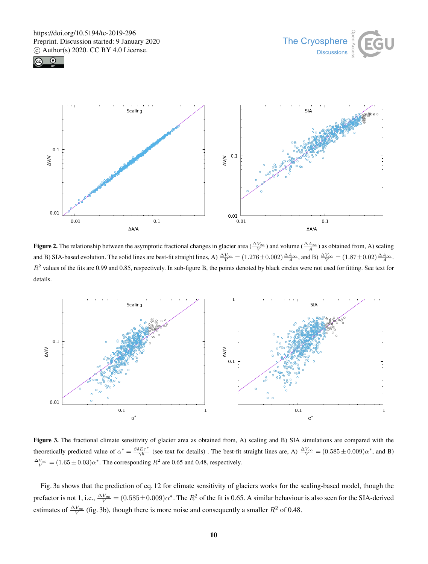





**Figure 2.** The relationship between the asymptotic fractional changes in glacier area ( $\frac{\Delta V_{\infty}}{V}$ ) and volume ( $\frac{\Delta A_{\infty}}{A}$ ) as obtained from, A) scaling and B) SIA-based evolution. The solid lines are best-fit straight lines, A)  $\frac{\Delta V_{\infty}}{V} = (1.276 \pm 0.002) \frac{\Delta A_{\infty}}{A}$ , and B)  $\frac{\Delta V_{\infty}}{V} = (1.87 \pm 0.02) \frac{\Delta A_{\infty}}{A}$ .  $R<sup>2</sup>$  values of the fits are 0.99 and 0.85, respectively. In sub-figure B, the points denoted by black circles were not used for fitting. See text for details.



Figure 3. The fractional climate sensitivity of glacier area as obtained from, A) scaling and B) SIA simulations are compared with the theoretically predicted value of  $\alpha^* = \frac{\beta \delta E \tau^*}{\gamma h}$  (see text for details). The best-fit straight lines are, A)  $\frac{\Delta V_{\infty}}{V} = (0.585 \pm 0.009)\alpha^*$ , and B)  $\frac{\Delta V_{\infty}}{V}$  = (1.65 ± 0.03) $\alpha^*$ . The corresponding  $R^2$  are 0.65 and 0.48, respectively.

Fig. 3a shows that the prediction of eq. 12 for climate sensitivity of glaciers works for the scaling-based model, though the prefactor is not 1, i.e.,  $\frac{\Delta V_{\infty}}{V} = (0.585 \pm 0.009)\alpha^*$ . The  $R^2$  of the fit is 0.65. A similar behaviour is also seen for the SIA-derived estimates of  $\frac{\Delta V_{\infty}}{V}$  (fig. 3b), though there is more noise and consequently a smaller  $R^2$  of 0.48.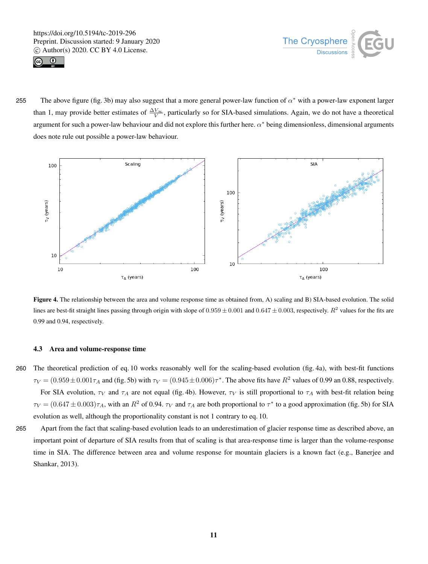



255 The above figure (fig. 3b) may also suggest that a more general power-law function of  $\alpha^*$  with a power-law exponent larger than 1, may provide better estimates of  $\frac{\Delta V_{\infty}}{V}$ , particularly so for SIA-based simulations. Again, we do not have a theoretical argument for such a power-law behaviour and did not explore this further here.  $\alpha^*$  being dimensionless, dimensional arguments does note rule out possible a power-law behaviour.



Figure 4. The relationship between the area and volume response time as obtained from, A) scaling and B) SIA-based evolution. The solid lines are best-fit straight lines passing through origin with slope of  $0.959 \pm 0.001$  and  $0.647 \pm 0.003$ , respectively.  $R^2$  values for the fits are 0.99 and 0.94, respectively.

# 4.3 Area and volume-response time

260 The theoretical prediction of eq. 10 works reasonably well for the scaling-based evolution (fig. 4a), with best-fit functions

 $\tau_V = (0.959 \pm 0.001 \tau_A$  and (fig. 5b) with  $\tau_V = (0.945 \pm 0.006) \tau^*$ . The above fits have  $R^2$  values of 0.99 an 0.88, respectively. For SIA evolution,  $\tau_V$  and  $\tau_A$  are not equal (fig. 4b). However,  $\tau_V$  is still proportional to  $\tau_A$  with best-fit relation being  $\tau_V = (0.647 \pm 0.003)\tau_A$ , with an  $R^2$  of 0.94.  $\tau_V$  and  $\tau_A$  are both proportional to  $\tau^*$  to a good approximation (fig. 5b) for SIA evolution as well, although the proportionality constant is not 1 contrary to eq. 10.

265 Apart from the fact that scaling-based evolution leads to an underestimation of glacier response time as described above, an important point of departure of SIA results from that of scaling is that area-response time is larger than the volume-response time in SIA. The difference between area and volume response for mountain glaciers is a known fact (e.g., Banerjee and Shankar, 2013).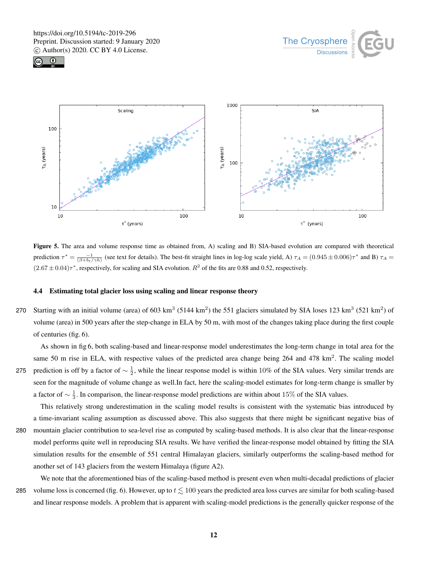





Figure 5. The area and volume response time as obtained from, A) scaling and B) SIA-based evolution are compared with theoretical prediction  $\tau^* = \frac{-1}{(\beta + bt/\gamma h)}$  (see text for details). The best-fit straight lines in log-log scale yield, A)  $\tau_A = (0.945 \pm 0.006)\tau^*$  and B)  $\tau_A =$  $(2.67 \pm 0.04)\tau^*$ , respectively, for scaling and SIA evolution.  $R^2$  of the fits are 0.88 and 0.52, respectively.

# 4.4 Estimating total glacier loss using scaling and linear response theory

270 Starting with an initial volume (area) of 603 km<sup>3</sup> (5144 km<sup>2</sup>) the 551 glaciers simulated by SIA loses 123 km<sup>3</sup> (521 km<sup>2</sup>) of volume (area) in 500 years after the step-change in ELA by 50 m, with most of the changes taking place during the first couple of centuries (fig. 6).

As shown in fig 6, both scaling-based and linear-response model underestimates the long-term change in total area for the same 50 m rise in ELA, with respective values of the predicted area change being  $264$  and  $478 \text{ km}^2$ . The scaling model 275 prediction is off by a factor of  $\sim \frac{1}{2}$ , while the linear response model is within 10% of the SIA values. Very similar trends are seen for the magnitude of volume change as well.In fact, here the scaling-model estimates for long-term change is smaller by a factor of  $\sim \frac{1}{3}$ . In comparison, the linear-response model predictions are within about 15% of the SIA values.

This relatively strong underestimation in the scaling model results is consistent with the systematic bias introduced by a time-invariant scaling assumption as discussed above. This also suggests that there might be significant negative bias of 280 mountain glacier contribution to sea-level rise as computed by scaling-based methods. It is also clear that the linear-response model performs quite well in reproducing SIA results. We have verified the linear-response model obtained by fitting the SIA simulation results for the ensemble of 551 central Himalayan glaciers, similarly outperforms the scaling-based method for another set of 143 glaciers from the western Himalaya (figure A2).

We note that the aforementioned bias of the scaling-based method is present even when multi-decadal predictions of glacier 285 volume loss is concerned (fig. 6). However, up to  $t \lesssim 100$  years the predicted area loss curves are similar for both scaling-based and linear response models. A problem that is apparent with scaling-model predictions is the generally quicker response of the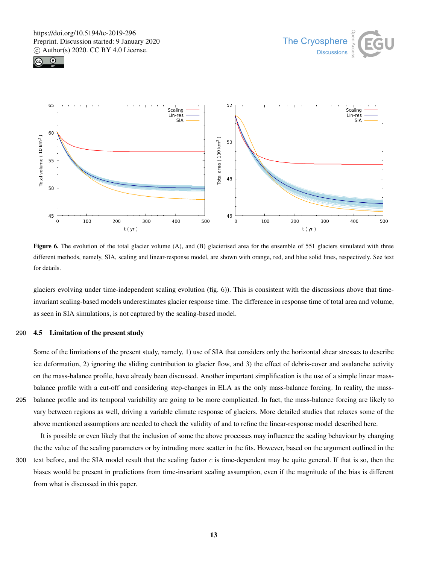





Figure 6. The evolution of the total glacier volume (A), and (B) glacierised area for the ensemble of 551 glaciers simulated with three different methods, namely, SIA, scaling and linear-response model, are shown with orange, red, and blue solid lines, respectively. See text for details.

glaciers evolving under time-independent scaling evolution (fig. 6)). This is consistent with the discussions above that timeinvariant scaling-based models underestimates glacier response time. The difference in response time of total area and volume, as seen in SIA simulations, is not captured by the scaling-based model.

### 290 4.5 Limitation of the present study

Some of the limitations of the present study, namely, 1) use of SIA that considers only the horizontal shear stresses to describe ice deformation, 2) ignoring the sliding contribution to glacier flow, and 3) the effect of debris-cover and avalanche activity on the mass-balance profile, have already been discussed. Another important simplification is the use of a simple linear massbalance profile with a cut-off and considering step-changes in ELA as the only mass-balance forcing. In reality, the mass-295 balance profile and its temporal variability are going to be more complicated. In fact, the mass-balance forcing are likely to vary between regions as well, driving a variable climate response of glaciers. More detailed studies that relaxes some of the above mentioned assumptions are needed to check the validity of and to refine the linear-response model described here.

It is possible or even likely that the inclusion of some the above processes may influence the scaling behaviour by changing the the value of the scaling parameters or by intruding more scatter in the fits. However, based on the argument outlined in the

300 text before, and the SIA model result that the scaling factor  $c$  is time-dependent may be quite general. If that is so, then the biases would be present in predictions from time-invariant scaling assumption, even if the magnitude of the bias is different from what is discussed in this paper.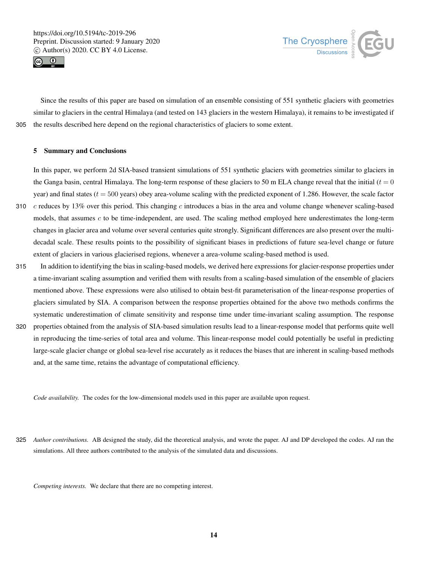



Since the results of this paper are based on simulation of an ensemble consisting of 551 synthetic glaciers with geometries similar to glaciers in the central Himalaya (and tested on 143 glaciers in the western Himalaya), it remains to be investigated if 305 the results described here depend on the regional characteristics of glaciers to some extent.

#### 5 Summary and Conclusions

In this paper, we perform 2d SIA-based transient simulations of 551 synthetic glaciers with geometries similar to glaciers in the Ganga basin, central Himalaya. The long-term response of these glaciers to 50 m ELA change reveal that the initial ( $t = 0$ year) and final states  $(t = 500 \text{ years})$  obey area-volume scaling with the predicted exponent of 1.286. However, the scale factor 310  $c$  reduces by 13% over this period. This changing c introduces a bias in the area and volume change whenever scaling-based models, that assumes c to be time-independent, are used. The scaling method employed here underestimates the long-term changes in glacier area and volume over several centuries quite strongly. Significant differences are also present over the multi-

- decadal scale. These results points to the possibility of significant biases in predictions of future sea-level change or future extent of glaciers in various glacierised regions, whenever a area-volume scaling-based method is used.
- 315 In addition to identifying the bias in scaling-based models, we derived here expressions for glacier-response properties under a time-invariant scaling assumption and verified them with results from a scaling-based simulation of the ensemble of glaciers mentioned above. These expressions were also utilised to obtain best-fit parameterisation of the linear-response properties of glaciers simulated by SIA. A comparison between the response properties obtained for the above two methods confirms the systematic underestimation of climate sensitivity and response time under time-invariant scaling assumption. The response
- 320 properties obtained from the analysis of SIA-based simulation results lead to a linear-response model that performs quite well in reproducing the time-series of total area and volume. This linear-response model could potentially be useful in predicting large-scale glacier change or global sea-level rise accurately as it reduces the biases that are inherent in scaling-based methods and, at the same time, retains the advantage of computational efficiency.

*Code availability.* The codes for the low-dimensional models used in this paper are available upon request.

325 *Author contributions.* AB designed the study, did the theoretical analysis, and wrote the paper. AJ and DP developed the codes. AJ ran the simulations. All three authors contributed to the analysis of the simulated data and discussions.

*Competing interests.* We declare that there are no competing interest.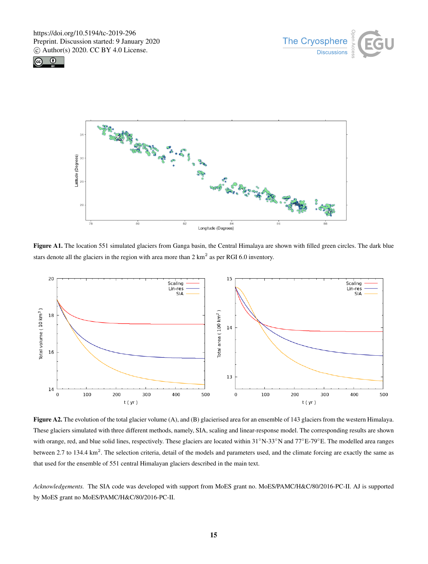





Figure A1. The location 551 simulated glaciers from Ganga basin, the Central Himalaya are shown with filled green circles. The dark blue stars denote all the glaciers in the region with area more than  $2 \text{ km}^2$  as per RGI 6.0 inventory.



Figure A2. The evolution of the total glacier volume (A), and (B) glacierised area for an ensemble of 143 glaciers from the western Himalaya. These glaciers simulated with three different methods, namely, SIA, scaling and linear-response model. The corresponding results are shown with orange, red, and blue solid lines, respectively. These glaciers are located within 31°N-33°N and 77°E-79°E. The modelled area ranges between 2.7 to 134.4  $\text{km}^2$ . The selection criteria, detail of the models and parameters used, and the climate forcing are exactly the same as that used for the ensemble of 551 central Himalayan glaciers described in the main text.

*Acknowledgements.* The SIA code was developed with support from MoES grant no. MoES/PAMC/H&C/80/2016-PC-II. AJ is supported by MoES grant no MoES/PAMC/H&C/80/2016-PC-II.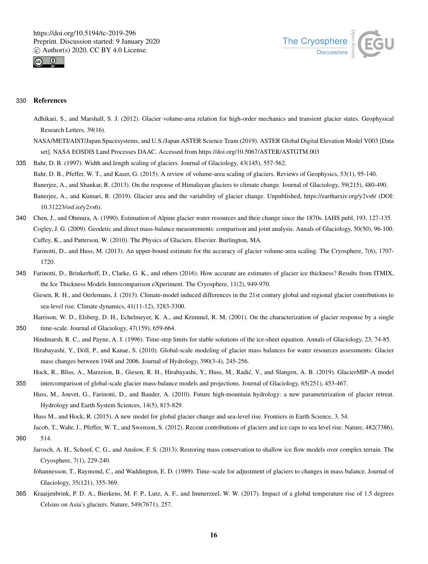



# 330 References

- Adhikari, S., and Marshall, S. J. (2012). Glacier volume-area relation for high-order mechanics and transient glacier states. Geophysical Research Letters, 39(16).
- NASA/METI/AIST/Japan Spacesystems, and U.S./Japan ASTER Science Team (2019). ASTER Global Digital Elevation Model V003 [Data set]. NASA EOSDIS Land Processes DAAC. Accessed from https://doi.org/10.5067/ASTER/ASTGTM.003
- 335 Bahr, D. B. (1997). Width and length scaling of glaciers. Journal of Glaciology, 43(145), 557-562. Bahr, D. B., Pfeffer, W. T., and Kaser, G. (2015). A review of volume-area scaling of glaciers. Reviews of Geophysics, 53(1), 95-140. Banerjee, A., and Shankar, R. (2013). On the response of Himalayan glaciers to climate change. Journal of Glaciology, 59(215), 480-490. Banerjee, A., and Kumari, R. (2019). Glacier area and the variability of glacier change. Unpublished, https://eartharxiv.org/y2vs6/ (DOI: 10.31223/osf.io/y2vs6).
- 340 Chen, J., and Ohmura, A. (1990). Estimation of Alpine glacier water resources and their change since the 1870s. IAHS publ, 193, 127-135. Cogley, J. G. (2009). Geodetic and direct mass-balance measurements: comparison and joint analysis. Annals of Glaciology, 50(50), 96-100. Cuffey, K., and Patterson, W. (2010). The Physics of Glaciers. Elsevier. Burlington, MA.
	- Farinotti, D., and Huss, M. (2013). An upper-bound estimate for the accuracy of glacier volume-area scaling. The Cryosphere, 7(6), 1707- 1720.
- 345 Farinotti, D., Brinkerhoff, D., Clarke, G. K., and others (2016). How accurate are estimates of glacier ice thickness? Results from ITMIX, the Ice Thickness Models Intercomparison eXperiment. The Cryosphere, 11(2), 949-970.
	- Giesen, R. H., and Oerlemans, J. (2013). Climate-model induced differences in the 21st century global and regional glacier contributions to sea-level rise. Climate dynamics, 41(11-12), 3283-3300.
- Harrison, W. D., Elsberg, D. H., Echelmeyer, K. A., and Krimmel, R. M. (2001). On the characterization of glacier response by a single 350 time-scale. Journal of Glaciology, 47(159), 659-664.
	- Hindmarsh, R. C., and Payne, A. J. (1996). Time-step limits for stable solutions of the ice-sheet equation. Annals of Glaciology, 23, 74-85. Hirabayashi, Y., Döll, P., and Kanae, S. (2010). Global-scale modeling of glacier mass balances for water resources assessments: Glacier mass changes between 1948 and 2006. Journal of Hydrology, 390(3-4), 245-256.
- Hock, R., Bliss, A., Marzeion, B., Giesen, R. H., Hirabayashi, Y., Huss, M., Radić, V., and Slangen, A. B. (2019). GlacierMIP-A model 355 intercomparison of global-scale glacier mass-balance models and projections. Journal of Glaciology, 65(251), 453-467.
- Huss, M., Jouvet, G., Farinotti, D., and Bauder, A. (2010). Future high-mountain hydrology: a new parameterization of glacier retreat. Hydrology and Earth System Sciences, 14(5), 815-829.

Huss M., and Hock, R. (2015). A new model for global glacier change and sea-level rise. Frontiers in Earth Science, 3, 54.

Jacob, T., Wahr, J., Pfeffer, W. T., and Swenson, S. (2012). Recent contributions of glaciers and ice caps to sea level rise. Nature, 482(7386), 360 514.

- Jarosch, A. H., Schoof, C. G., and Anslow, F. S. (2013). Restoring mass conservation to shallow ice flow models over complex terrain. The Cryosphere, 7(1), 229-240.
	- Jóhannesson, T., Raymond, C., and Waddington, E. D. (1989). Time–scale for adjustment of glaciers to changes in mass balance. Journal of Glaciology, 35(121), 355-369.
- 365 Kraaijenbrink, P. D. A., Bierkens, M. F. P., Lutz, A. F., and Immerzeel, W. W. (2017). Impact of a global temperature rise of 1.5 degrees Celsius on Asia's glaciers. Nature, 549(7671), 257.